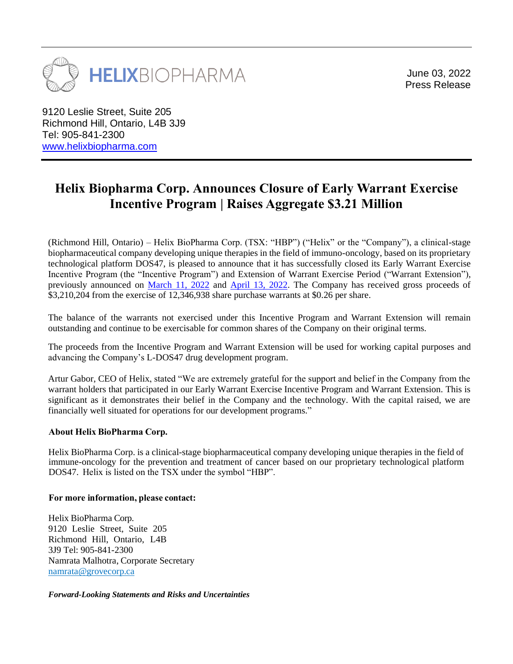

June 03, 2022 Press Release

9120 Leslie Street, Suite 205 Richmond Hill, Ontario, L4B 3J9 Tel: 905-841-2300 [www.helixbiopharma.com](http://www.helixbiopharma.com/)

## **Helix Biopharma Corp. Announces Closure of Early Warrant Exercise Incentive Program | Raises Aggregate \$3.21 Million**

(Richmond Hill, Ontario) – Helix BioPharma Corp. (TSX: "HBP") ("Helix" or the "Company"), a clinical-stage biopharmaceutical company developing unique therapies in the field of immuno-oncology, based on its proprietary technological platform DOS47, is pleased to announce that it has successfully closed its Early Warrant Exercise Incentive Program (the "Incentive Program") and Extension of Warrant Exercise Period ("Warrant Extension"), previously announced on [March 11, 2022](https://www.helixbiopharma.com/helix-biopharma-corp-closes-private-placement-and-announces-early-warrant-exercise-incentive-program-and-extension-of-warrant-exercise-period/) and [April 13, 2022.](https://www.helixbiopharma.com/helix-biopharma-corp-announces-extension-of-early-warrant-exercise-incentive-program-and-receipt-of-private-placement-subscription/) The Company has received gross proceeds of \$3,210,204 from the exercise of 12,346,938 share purchase warrants at \$0.26 per share.

The balance of the warrants not exercised under this Incentive Program and Warrant Extension will remain outstanding and continue to be exercisable for common shares of the Company on their original terms.

The proceeds from the Incentive Program and Warrant Extension will be used for working capital purposes and advancing the Company's L-DOS47 drug development program.

Artur Gabor, CEO of Helix, stated "We are extremely grateful for the support and belief in the Company from the warrant holders that participated in our Early Warrant Exercise Incentive Program and Warrant Extension. This is significant as it demonstrates their belief in the Company and the technology. With the capital raised, we are financially well situated for operations for our development programs."

## **About Helix BioPharma Corp.**

Helix BioPharma Corp. is a clinical-stage biopharmaceutical company developing unique therapies in the field of immune-oncology for the prevention and treatment of cancer based on our proprietary technological platform DOS47. Helix is listed on the TSX under the symbol "HBP".

## **For more information, please contact:**

Helix BioPharma Corp. 9120 Leslie Street, Suite 205 Richmond Hill, Ontario, L4B 3J9 Tel: 905-841-2300 Namrata Malhotra, Corporate Secretary [namrata@grovecorp.ca](mailto:ir@helixbiopharma.com)

## *Forward-Looking Statements and Risks and Uncertainties*